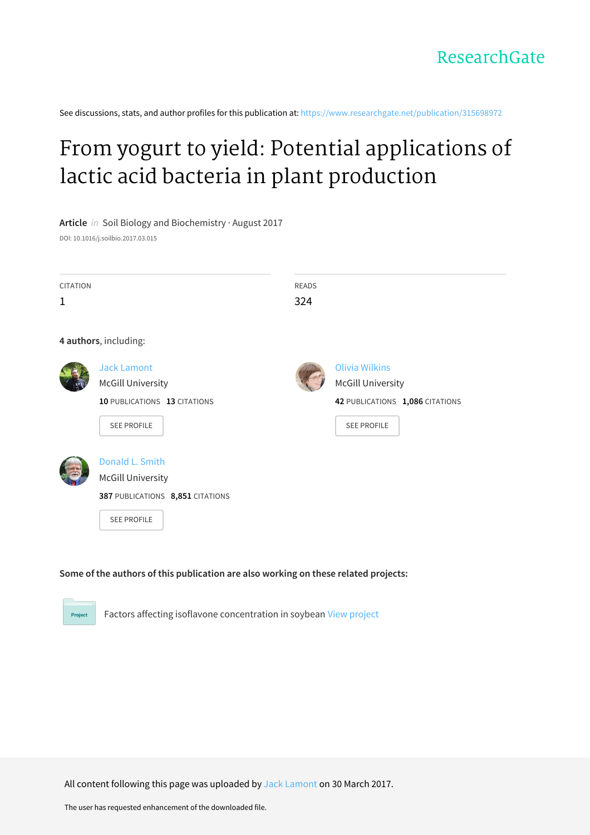See discussions, stats, and author profiles for this publication at: [https://www.researchgate.net/publication/315698972](https://www.researchgate.net/publication/315698972_From_yogurt_to_yield_Potential_applications_of_lactic_acid_bacteria_in_plant_production?enrichId=rgreq-9b375273a5eaaed6f01358ea940860ba-XXX&enrichSource=Y292ZXJQYWdlOzMxNTY5ODk3MjtBUzo0Nzc1OTc0OTk5NTcyNDlAMTQ5MDg3OTUyNTM0Mg%3D%3D&el=1_x_2&_esc=publicationCoverPdf)

# From yogurt to yield: Potential [applications](https://www.researchgate.net/publication/315698972_From_yogurt_to_yield_Potential_applications_of_lactic_acid_bacteria_in_plant_production?enrichId=rgreq-9b375273a5eaaed6f01358ea940860ba-XXX&enrichSource=Y292ZXJQYWdlOzMxNTY5ODk3MjtBUzo0Nzc1OTc0OTk5NTcyNDlAMTQ5MDg3OTUyNTM0Mg%3D%3D&el=1_x_3&_esc=publicationCoverPdf) of lactic acid bacteria in plant production

**Article** in Soil Biology and Biochemistry · August 2017

DOI: 10.1016/j.soilbio.2017.03.015

| <b>CITATION</b><br>$\mathbf{1}$ |                                                                                                       | <b>READS</b><br>324                                                     |                                 |
|---------------------------------|-------------------------------------------------------------------------------------------------------|-------------------------------------------------------------------------|---------------------------------|
|                                 | 4 authors, including:                                                                                 |                                                                         |                                 |
|                                 | <b>Jack Lamont</b><br><b>McGill University</b><br>10 PUBLICATIONS 13 CITATIONS<br><b>SEE PROFILE</b>  | <b>Olivia Wilkins</b><br><b>McGill University</b><br><b>SEE PROFILE</b> | 42 PUBLICATIONS 1,086 CITATIONS |
|                                 | Donald L. Smith<br><b>McGill University</b><br>387 PUBLICATIONS 8,851 CITATIONS<br><b>SEE PROFILE</b> |                                                                         |                                 |

## **Some of the authors of this publication are also working on these related projects:**



All content following this page was uploaded by Jack [Lamont](https://www.researchgate.net/profile/Jack_Lamont?enrichId=rgreq-9b375273a5eaaed6f01358ea940860ba-XXX&enrichSource=Y292ZXJQYWdlOzMxNTY5ODk3MjtBUzo0Nzc1OTc0OTk5NTcyNDlAMTQ5MDg3OTUyNTM0Mg%3D%3D&el=1_x_10&_esc=publicationCoverPdf) on 30 March 2017.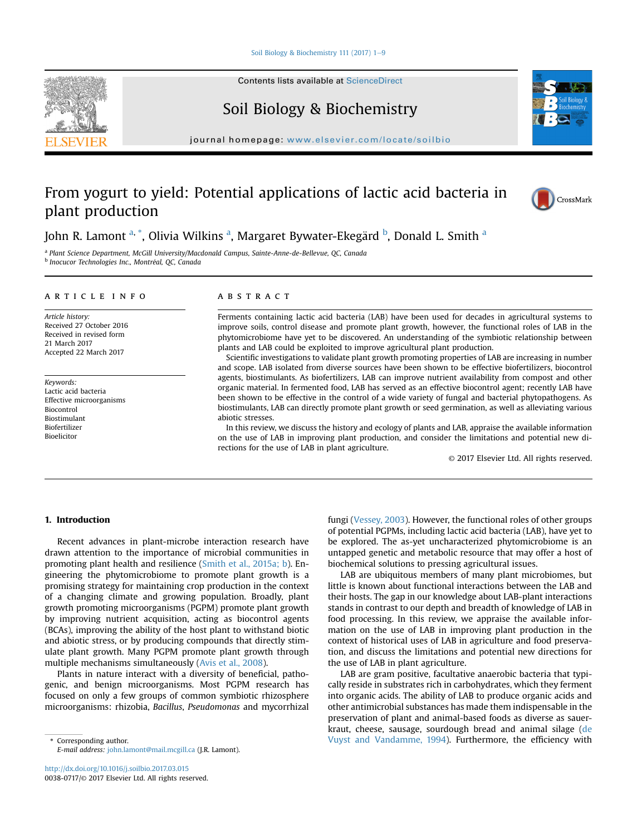#### [Soil Biology & Biochemistry 111 \(2017\) 1](http://dx.doi.org/10.1016/j.soilbio.2017.03.015)-[9](http://dx.doi.org/10.1016/j.soilbio.2017.03.015)

Contents lists available at ScienceDirect

# Soil Biology & Biochemistry

journal homepage: [www.elsevier.com/locate/soilbio](http://www.elsevier.com/locate/soilbio)

## From yogurt to yield: Potential applications of lactic acid bacteria in plant production



John R. Lamont <sup>a, \*</sup>, Olivia Wilkins <sup>a</sup>, Margaret Bywater-Ekegärd <sup>b</sup>, Donald L. Smith <sup>a</sup>

<sup>a</sup> Plant Science Department, McGill University/Macdonald Campus, Sainte-Anne-de-Bellevue, QC, Canada <sup>b</sup> Inocucor Technologies Inc., Montréal, QC, Canada

#### article info

Article history: Received 27 October 2016 Received in revised form 21 March 2017 Accepted 22 March 2017

Keywords: Lactic acid bacteria Effective microorganisms Biocontrol Biostimulant Biofertilizer Bioelicitor

#### ABSTRACT

Ferments containing lactic acid bacteria (LAB) have been used for decades in agricultural systems to improve soils, control disease and promote plant growth, however, the functional roles of LAB in the phytomicrobiome have yet to be discovered. An understanding of the symbiotic relationship between plants and LAB could be exploited to improve agricultural plant production.

Scientific investigations to validate plant growth promoting properties of LAB are increasing in number and scope. LAB isolated from diverse sources have been shown to be effective biofertilizers, biocontrol agents, biostimulants. As biofertilizers, LAB can improve nutrient availability from compost and other organic material. In fermented food, LAB has served as an effective biocontrol agent; recently LAB have been shown to be effective in the control of a wide variety of fungal and bacterial phytopathogens. As biostimulants, LAB can directly promote plant growth or seed germination, as well as alleviating various abiotic stresses.

In this review, we discuss the history and ecology of plants and LAB, appraise the available information on the use of LAB in improving plant production, and consider the limitations and potential new directions for the use of LAB in plant agriculture.

© 2017 Elsevier Ltd. All rights reserved.

#### 1. Introduction

Recent advances in plant-microbe interaction research have drawn attention to the importance of microbial communities in promoting plant health and resilience [\(Smith et al., 2015a; b\)](#page-9-0). Engineering the phytomicrobiome to promote plant growth is a promising strategy for maintaining crop production in the context of a changing climate and growing population. Broadly, plant growth promoting microorganisms (PGPM) promote plant growth by improving nutrient acquisition, acting as biocontrol agents (BCAs), improving the ability of the host plant to withstand biotic and abiotic stress, or by producing compounds that directly stimulate plant growth. Many PGPM promote plant growth through multiple mechanisms simultaneously ([Avis et al., 2008\)](#page-7-0).

Plants in nature interact with a diversity of beneficial, pathogenic, and benign microorganisms. Most PGPM research has focused on only a few groups of common symbiotic rhizosphere microorganisms: rhizobia, Bacillus, Pseudomonas and mycorrhizal

E-mail address: [john.lamont@mail.mcgill.ca](mailto:john.lamont@mail.mcgill.ca) (J.R. Lamont).

fungi [\(Vessey, 2003\)](#page-9-0). However, the functional roles of other groups of potential PGPMs, including lactic acid bacteria (LAB), have yet to be explored. The as-yet uncharacterized phytomicrobiome is an untapped genetic and metabolic resource that may offer a host of biochemical solutions to pressing agricultural issues.

LAB are ubiquitous members of many plant microbiomes, but little is known about functional interactions between the LAB and their hosts. The gap in our knowledge about LAB-plant interactions stands in contrast to our depth and breadth of knowledge of LAB in food processing. In this review, we appraise the available information on the use of LAB in improving plant production in the context of historical uses of LAB in agriculture and food preservation, and discuss the limitations and potential new directions for the use of LAB in plant agriculture.

LAB are gram positive, facultative anaerobic bacteria that typically reside in substrates rich in carbohydrates, which they ferment into organic acids. The ability of LAB to produce organic acids and other antimicrobial substances has made them indispensable in the preservation of plant and animal-based foods as diverse as sauerkraut, cheese, sausage, sourdough bread and animal silage [\(de](#page-9-0) \* Corresponding author. [Vuyst and Vandamme, 1994\)](#page-9-0). Furthermore, the efficiency with

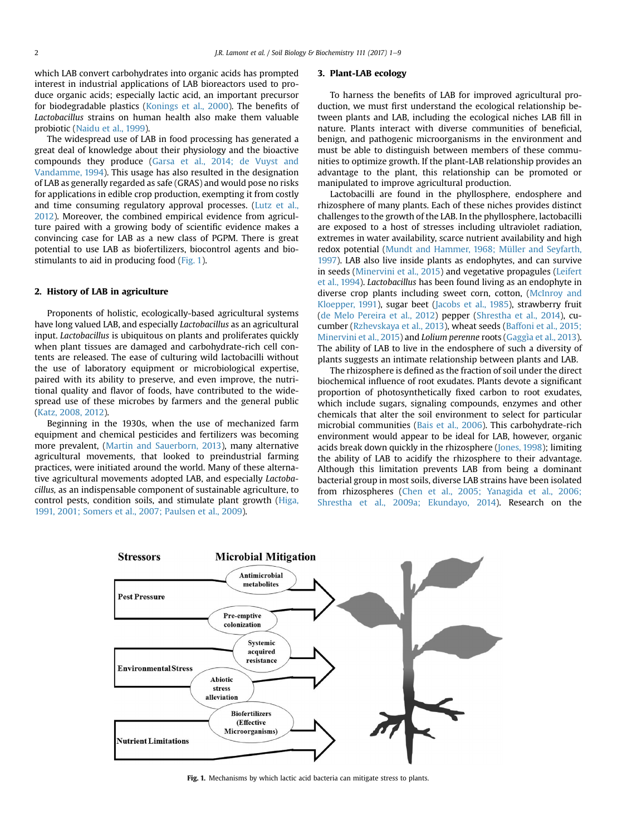which LAB convert carbohydrates into organic acids has prompted interest in industrial applications of LAB bioreactors used to produce organic acids; especially lactic acid, an important precursor for biodegradable plastics ([Konings et al., 2000](#page-8-0)). The benefits of Lactobacillus strains on human health also make them valuable probiotic [\(Naidu et al., 1999\)](#page-8-0).

The widespread use of LAB in food processing has generated a great deal of knowledge about their physiology and the bioactive compounds they produce ([Garsa et al., 2014; de Vuyst and](#page-7-0) [Vandamme, 1994](#page-7-0)). This usage has also resulted in the designation of LAB as generally regarded as safe (GRAS) and would pose no risks for applications in edible crop production, exempting it from costly and time consuming regulatory approval processes. [\(Lutz et al.,](#page-8-0) [2012](#page-8-0)). Moreover, the combined empirical evidence from agriculture paired with a growing body of scientific evidence makes a convincing case for LAB as a new class of PGPM. There is great potential to use LAB as biofertilizers, biocontrol agents and biostimulants to aid in producing food (Fig. 1).

#### 2. History of LAB in agriculture

Proponents of holistic, ecologically-based agricultural systems have long valued LAB, and especially Lactobacillus as an agricultural input. Lactobacillus is ubiquitous on plants and proliferates quickly when plant tissues are damaged and carbohydrate-rich cell contents are released. The ease of culturing wild lactobacilli without the use of laboratory equipment or microbiological expertise, paired with its ability to preserve, and even improve, the nutritional quality and flavor of foods, have contributed to the widespread use of these microbes by farmers and the general public ([Katz, 2008, 2012\)](#page-8-0).

Beginning in the 1930s, when the use of mechanized farm equipment and chemical pesticides and fertilizers was becoming more prevalent, ([Martin and Sauerborn, 2013](#page-8-0)), many alternative agricultural movements, that looked to preindustrial farming practices, were initiated around the world. Many of these alternative agricultural movements adopted LAB, and especially Lactobacillus, as an indispensable component of sustainable agriculture, to control pests, condition soils, and stimulate plant growth ([Higa,](#page-7-0) [1991, 2001; Somers et al., 2007; Paulsen et al., 2009](#page-7-0)).

#### 3. Plant-LAB ecology

To harness the benefits of LAB for improved agricultural production, we must first understand the ecological relationship between plants and LAB, including the ecological niches LAB fill in nature. Plants interact with diverse communities of beneficial, benign, and pathogenic microorganisms in the environment and must be able to distinguish between members of these communities to optimize growth. If the plant-LAB relationship provides an advantage to the plant, this relationship can be promoted or manipulated to improve agricultural production.

Lactobacilli are found in the phyllosphere, endosphere and rhizosphere of many plants. Each of these niches provides distinct challenges to the growth of the LAB. In the phyllosphere, lactobacilli are exposed to a host of stresses including ultraviolet radiation, extremes in water availability, scarce nutrient availability and high redox potential [\(Mundt and Hammer, 1968; Müller and Seyfarth,](#page-8-0) [1997](#page-8-0)). LAB also live inside plants as endophytes, and can survive in seeds ([Minervini et al., 2015](#page-8-0)) and vegetative propagules ([Leifert](#page-8-0) [et al., 1994\)](#page-8-0). Lactobacillus has been found living as an endophyte in diverse crop plants including sweet corn, cotton, [\(McInroy and](#page-8-0) [Kloepper, 1991\)](#page-8-0), sugar beet ([Jacobs et al., 1985](#page-8-0)), strawberry fruit ([de Melo Pereira et al., 2012](#page-8-0)) pepper [\(Shrestha et al., 2014](#page-9-0)), cucumber ([Rzhevskaya et al., 2013](#page-8-0)), wheat seeds ([Baffoni et al., 2015;](#page-7-0) [Minervini et al., 2015\)](#page-7-0) and Lolium perenne roots [\(Gaggìa et al., 2013\)](#page-7-0). The ability of LAB to live in the endosphere of such a diversity of plants suggests an intimate relationship between plants and LAB.

The rhizosphere is defined as the fraction of soil under the direct biochemical influence of root exudates. Plants devote a significant proportion of photosynthetically fixed carbon to root exudates, which include sugars, signaling compounds, enzymes and other chemicals that alter the soil environment to select for particular microbial communities [\(Bais et al., 2006](#page-7-0)). This carbohydrate-rich environment would appear to be ideal for LAB, however, organic acids break down quickly in the rhizosphere [\(Jones, 1998](#page-8-0)); limiting the ability of LAB to acidify the rhizosphere to their advantage. Although this limitation prevents LAB from being a dominant bacterial group in most soils, diverse LAB strains have been isolated from rhizospheres [\(Chen et al., 2005; Yanagida et al., 2006;](#page-7-0) [Shrestha et al., 2009a; Ekundayo, 2014](#page-7-0)). Research on the



Fig. 1. Mechanisms by which lactic acid bacteria can mitigate stress to plants.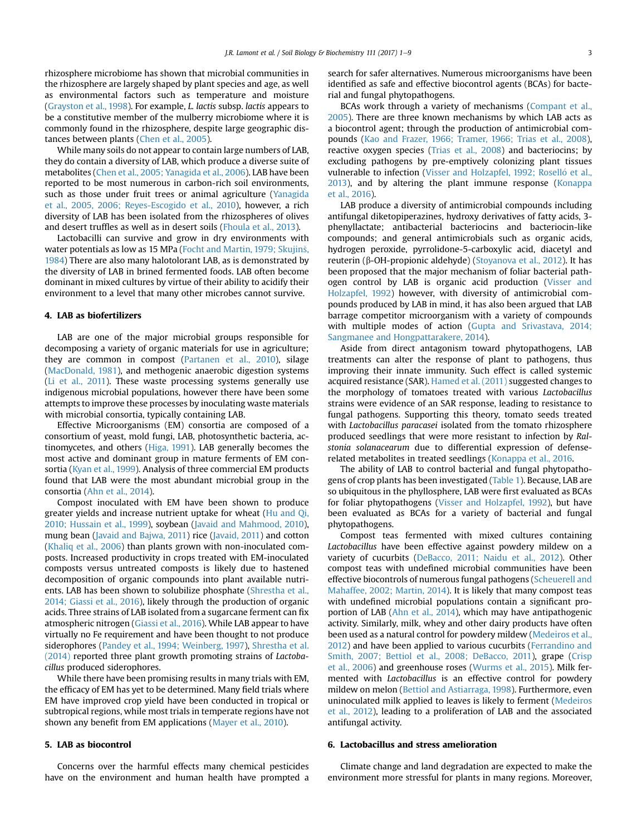rhizosphere microbiome has shown that microbial communities in the rhizosphere are largely shaped by plant species and age, as well as environmental factors such as temperature and moisture ([Grayston et al., 1998](#page-7-0)). For example, L. lactis subsp. lactis appears to be a constitutive member of the mulberry microbiome where it is commonly found in the rhizosphere, despite large geographic distances between plants ([Chen et al., 2005](#page-7-0)).

While many soils do not appear to contain large numbers of LAB, they do contain a diversity of LAB, which produce a diverse suite of metabolites [\(Chen et al., 2005; Yanagida et al., 2006](#page-7-0)). LAB have been reported to be most numerous in carbon-rich soil environments, such as those under fruit trees or animal agriculture ([Yanagida](#page-9-0) [et al., 2005, 2006; Reyes-Escogido et al., 2010](#page-9-0)), however, a rich diversity of LAB has been isolated from the rhizospheres of olives and desert truffles as well as in desert soils [\(Fhoula et al., 2013\)](#page-7-0).

Lactobacilli can survive and grow in dry environments with water potentials as low as 15 MPa ([Focht and Martin, 1979; Skujin](#page-7-0)s[,](#page-7-0) [1984\)](#page-7-0) There are also many halotolorant LAB, as is demonstrated by the diversity of LAB in brined fermented foods. LAB often become dominant in mixed cultures by virtue of their ability to acidify their environment to a level that many other microbes cannot survive.

#### 4. LAB as biofertilizers

LAB are one of the major microbial groups responsible for decomposing a variety of organic materials for use in agriculture; they are common in compost [\(Partanen et al., 2010\)](#page-8-0), silage ([MacDonald, 1981\)](#page-8-0), and methogenic anaerobic digestion systems ([Li et al., 2011\)](#page-8-0). These waste processing systems generally use indigenous microbial populations, however there have been some attempts to improve these processes by inoculating waste materials with microbial consortia, typically containing LAB.

Effective Microorganisms (EM) consortia are composed of a consortium of yeast, mold fungi, LAB, photosynthetic bacteria, actinomycetes, and others [\(Higa, 1991](#page-7-0)). LAB generally becomes the most active and dominant group in mature ferments of EM consortia ([Kyan et al., 1999\)](#page-8-0). Analysis of three commercial EM products found that LAB were the most abundant microbial group in the consortia ([Ahn et al., 2014\)](#page-7-0).

Compost inoculated with EM have been shown to produce greater yields and increase nutrient uptake for wheat ([Hu and Qi,](#page-8-0) [2010; Hussain et al., 1999](#page-8-0)), soybean ([Javaid and Mahmood, 2010\)](#page-8-0), mung bean ([Javaid and Bajwa, 2011](#page-8-0)) rice ([Javaid, 2011](#page-8-0)) and cotton ([Khaliq et al., 2006](#page-8-0)) than plants grown with non-inoculated composts. Increased productivity in crops treated with EM-inoculated composts versus untreated composts is likely due to hastened decomposition of organic compounds into plant available nutrients. LAB has been shown to solubilize phosphate ([Shrestha et al.,](#page-9-0) [2014; Giassi et al., 2016](#page-9-0)), likely through the production of organic acids. Three strains of LAB isolated from a sugarcane ferment can fix atmospheric nitrogen [\(Giassi et al., 2016](#page-7-0)). While LAB appear to have virtually no Fe requirement and have been thought to not produce siderophores [\(Pandey et al., 1994; Weinberg, 1997](#page-8-0)), [Shrestha et al.](#page-9-0) [\(2014\)](#page-9-0) reported three plant growth promoting strains of Lactobacillus produced siderophores.

While there have been promising results in many trials with EM, the efficacy of EM has yet to be determined. Many field trials where EM have improved crop yield have been conducted in tropical or subtropical regions, while most trials in temperate regions have not shown any benefit from EM applications ([Mayer et al., 2010](#page-8-0)).

#### 5. LAB as biocontrol

Concerns over the harmful effects many chemical pesticides have on the environment and human health have prompted a search for safer alternatives. Numerous microorganisms have been identified as safe and effective biocontrol agents (BCAs) for bacterial and fungal phytopathogens.

BCAs work through a variety of mechanisms ([Compant et al.,](#page-7-0) [2005\)](#page-7-0). There are three known mechanisms by which LAB acts as a biocontrol agent; through the production of antimicrobial compounds [\(Kao and Frazer, 1966; Tramer, 1966; Trias et al., 2008\)](#page-8-0), reactive oxygen species ([Trias et al., 2008](#page-9-0)) and bacteriocins; by excluding pathogens by pre-emptively colonizing plant tissues vulnerable to infection ([Visser and Holzapfel, 1992; Rosell](#page-9-0)ó [et al.,](#page-9-0) [2013\)](#page-9-0), and by altering the plant immune response [\(Konappa](#page-8-0) [et al., 2016](#page-8-0)).

LAB produce a diversity of antimicrobial compounds including antifungal diketopiperazines, hydroxy derivatives of fatty acids, 3 phenyllactate; antibacterial bacteriocins and bacteriocin-like compounds; and general antimicrobials such as organic acids, hydrogen peroxide, pyrrolidone-5-carboxylic acid, diacetyl and reuterin ( $\beta$ -OH-propionic aldehyde) [\(Stoyanova et al., 2012](#page-9-0)). It has been proposed that the major mechanism of foliar bacterial pathogen control by LAB is organic acid production [\(Visser and](#page-9-0) [Holzapfel, 1992](#page-9-0)) however, with diversity of antimicrobial compounds produced by LAB in mind, it has also been argued that LAB barrage competitor microorganism with a variety of compounds with multiple modes of action ([Gupta and Srivastava, 2014;](#page-7-0) [Sangmanee and Hongpattarakere, 2014](#page-7-0)).

Aside from direct antagonism toward phytopathogens, LAB treatments can alter the response of plant to pathogens, thus improving their innate immunity. Such effect is called systemic acquired resistance (SAR). [Hamed et al. \(2011\)](#page-7-0) suggested changes to the morphology of tomatoes treated with various Lactobacillus strains were evidence of an SAR response, leading to resistance to fungal pathogens. Supporting this theory, tomato seeds treated with Lactobacillus paracasei isolated from the tomato rhizosphere produced seedlings that were more resistant to infection by Ralstonia solanacearum due to differential expression of defenserelated metabolites in treated seedlings [\(Konappa et al., 2016.](#page-8-0)

The ability of LAB to control bacterial and fungal phytopathogens of crop plants has been investigated [\(Table 1](#page-4-0)). Because, LAB are so ubiquitous in the phyllosphere, LAB were first evaluated as BCAs for foliar phytopathogens ([Visser and Holzapfel, 1992\)](#page-9-0), but have been evaluated as BCAs for a variety of bacterial and fungal phytopathogens.

Compost teas fermented with mixed cultures containing Lactobacillus have been effective against powdery mildew on a variety of cucurbits [\(DeBacco, 2011; Naidu et al., 2012\)](#page-7-0). Other compost teas with undefined microbial communities have been effective biocontrols of numerous fungal pathogens ([Scheuerell and](#page-9-0) [Mahaffee, 2002; Martin, 2014](#page-9-0)). It is likely that many compost teas with undefined microbial populations contain a significant proportion of LAB ([Ahn et al., 2014\)](#page-7-0), which may have antipathogenic activity. Similarly, milk, whey and other dairy products have often been used as a natural control for powdery mildew ([Medeiros et al.,](#page-8-0) [2012\)](#page-8-0) and have been applied to various cucurbits ([Ferrandino and](#page-7-0) [Smith, 2007; Bettiol et al., 2008; DeBacco, 2011](#page-7-0)), grape [\(Crisp](#page-7-0) [et al., 2006](#page-7-0)) and greenhouse roses [\(Wurms et al., 2015\)](#page-9-0). Milk fermented with Lactobacillus is an effective control for powdery mildew on melon ([Bettiol and Astiarraga, 1998\)](#page-7-0). Furthermore, even uninoculated milk applied to leaves is likely to ferment [\(Medeiros](#page-8-0) [et al., 2012](#page-8-0)), leading to a proliferation of LAB and the associated antifungal activity.

#### 6. Lactobacillus and stress amelioration

Climate change and land degradation are expected to make the environment more stressful for plants in many regions. Moreover,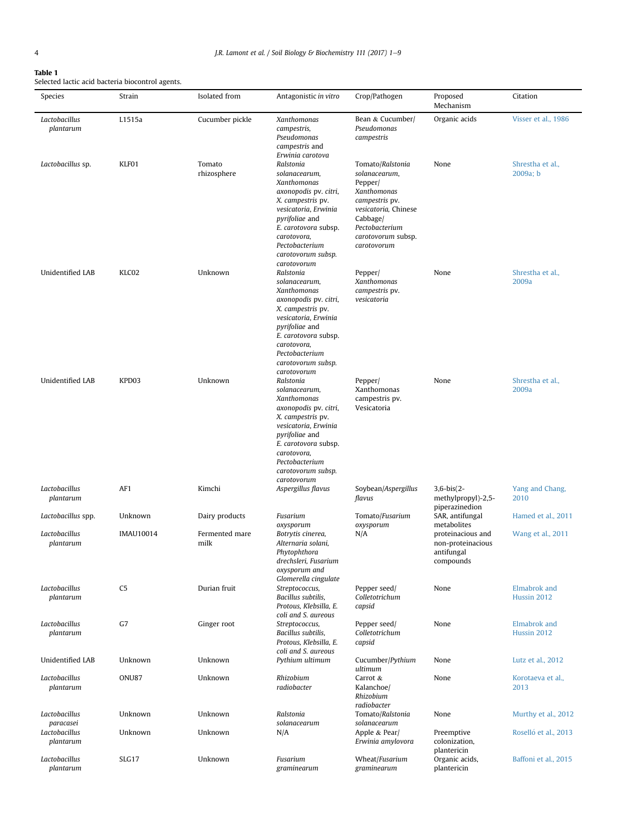#### <span id="page-4-0"></span>Table 1

Selected lactic acid bacteria biocontrol agents.

| Species                    | Strain           | Isolated from          | Antagonistic in vitro                                                                                                                                                                                                                  | Crop/Pathogen                                                                                                                                                            | Proposed<br>Mechanism                                             | Citation                     |
|----------------------------|------------------|------------------------|----------------------------------------------------------------------------------------------------------------------------------------------------------------------------------------------------------------------------------------|--------------------------------------------------------------------------------------------------------------------------------------------------------------------------|-------------------------------------------------------------------|------------------------------|
| Lactobacillus<br>plantarum | L1515a           | Cucumber pickle        | Xanthomonas<br>campestris,<br>Pseudomonas<br>campestris and<br>Erwinia carotova                                                                                                                                                        | Bean & Cucumber/<br>Pseudomonas<br>campestris                                                                                                                            | Organic acids                                                     | Visser et al., 1986          |
| Lactobacillus sp.          | KLF01            | Tomato<br>rhizosphere  | Ralstonia<br>solanacearum,<br>Xanthomonas<br>axonopodis pv. citri,<br>X. campestris pv.<br>vesicatoria, Erwinia<br><i>pyrifoliae</i> and<br>E. carotovora subsp.<br>carotovora,<br>Pectobacterium<br>carotovorum subsp.<br>carotovorum | Tomato/Ralstonia<br>solanacearum,<br>Pepper/<br>Xanthomonas<br>campestris pv.<br>vesicatoria, Chinese<br>Cabbage/<br>Pectobacterium<br>carotovorum subsp.<br>carotovorum | None                                                              | Shrestha et al.,<br>2009a; b |
| Unidentified LAB           | KLC02            | Unknown                | Ralstonia<br>solanacearum,<br>Xanthomonas<br>axonopodis pv. citri,<br>X. campestris pv.<br>vesicatoria, Erwinia<br><i>pyrifoliae</i> and<br>E. carotovora subsp.<br>carotovora,<br>Pectobacterium<br>carotovorum subsp.<br>carotovorum | Pepper/<br>Xanthomonas<br>campestris pv.<br>vesicatoria                                                                                                                  | None                                                              | Shrestha et al.,<br>2009a    |
| Unidentified LAB           | KPD03            | Unknown                | Ralstonia<br>solanacearum,<br>Xanthomonas<br>axonopodis pv. citri,<br>X. campestris pv.<br>vesicatoria, Erwinia<br><i>pyrifoliae</i> and<br>E. carotovora subsp.<br>carotovora,<br>Pectobacterium<br>carotovorum subsp.<br>carotovorum | Pepper/<br>Xanthomonas<br>campestris pv.<br>Vesicatoria                                                                                                                  | None                                                              | Shrestha et al.,<br>2009a    |
| Lactobacillus<br>plantarum | AF1              | Kimchi                 | Aspergillus flavus                                                                                                                                                                                                                     | Soybean/Aspergillus<br>flavus                                                                                                                                            | $3,6-bis(2-$<br>methylpropyl)-2,5-<br>piperazinedion              | Yang and Chang,<br>2010      |
| Lactobacillus spp.         | Unknown          | Dairy products         | Fusarium<br>oxysporum                                                                                                                                                                                                                  | Tomato/Fusarium<br>oxysporum                                                                                                                                             | SAR, antifungal<br>metabolites                                    | Hamed et al., 2011           |
| Lactobacillus<br>plantarum | <b>IMAU10014</b> | Fermented mare<br>milk | Botrytis cinerea,<br>Alternaria solani,<br>Phytophthora<br>drechsleri, Fusarium<br>oxysporum and<br>Glomerella cingulate                                                                                                               | N/A                                                                                                                                                                      | proteinacious and<br>non-proteinacious<br>antifungal<br>compounds | Wang et al., 2011            |
| Lactobacillus<br>plantarum | C <sub>5</sub>   | Durian fruit           | Streptococcus,<br>Bacillus subtilis,<br>Protous, Klebsilla, E.<br>coli and S. aureous                                                                                                                                                  | Pepper seed/<br>Colletotrichum<br>capsid                                                                                                                                 | None                                                              | Elmabrok and<br>Hussin 2012  |
| Lactobacillus<br>plantarum | G7               | Ginger root            | Streptococcus,<br>Bacillus subtilis,<br>Protous, Klebsilla, E.<br>coli and S. aureous                                                                                                                                                  | Pepper seed/<br>Colletotrichum<br>capsid                                                                                                                                 | None                                                              | Elmabrok and<br>Hussin 2012  |
| Unidentified LAB           | Unknown          | Unknown                | Pythium ultimum                                                                                                                                                                                                                        | Cucumber/Pythium<br>ultimum                                                                                                                                              | None                                                              | Lutz et al., 2012            |
| Lactobacillus<br>plantarum | ONU87            | Unknown                | Rhizobium<br>radiobacter                                                                                                                                                                                                               | Carrot &<br>Kalanchoe/<br>Rhizobium<br>radiobacter                                                                                                                       | None                                                              | Korotaeva et al.,<br>2013    |
| Lactobacillus<br>paracasei | Unknown          | Unknown                | Ralstonia<br>solanacearum                                                                                                                                                                                                              | Tomato/Ralstonia<br>solanacearum                                                                                                                                         | None                                                              | Murthy et al., 2012          |
| Lactobacillus<br>plantarum | Unknown          | Unknown                | N/A                                                                                                                                                                                                                                    | Apple & Pear/<br>Erwinia amylovora                                                                                                                                       | Preemptive<br>colonization,<br>plantericin                        | Roselló et al., 2013         |
| Lactobacillus<br>plantarum | SLG17            | Unknown                | Fusarium<br>graminearum                                                                                                                                                                                                                | Wheat/Fusarium<br>graminearum                                                                                                                                            | Organic acids,<br>plantericin                                     | Baffoni et al., 2015         |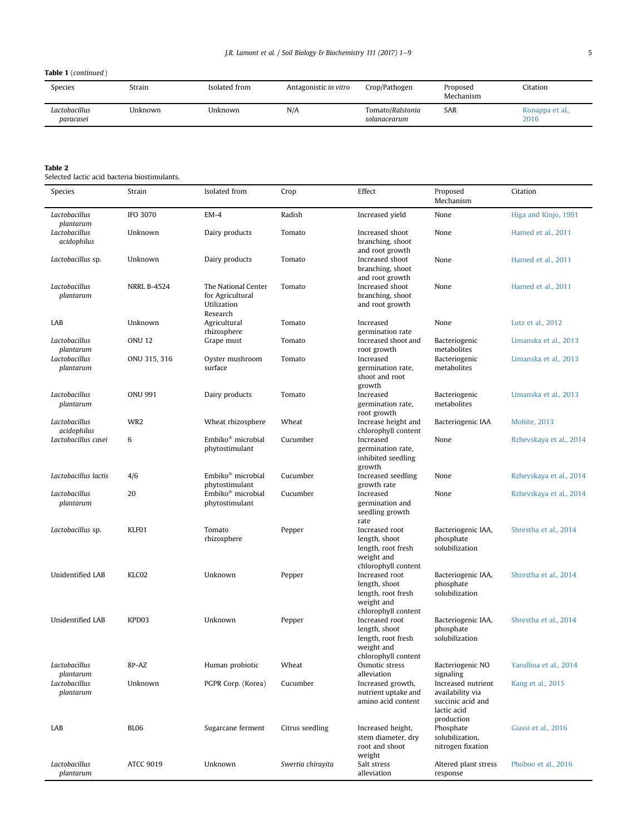### <span id="page-5-0"></span>Table 1 (continued )

| Species                    | Strain  | Isolated from | Antagonistic in vitro | Crop/Pathogen                    | Proposed<br>Mechanism | Citation                |
|----------------------------|---------|---------------|-----------------------|----------------------------------|-----------------------|-------------------------|
| Lactobacillus<br>paracasei | Unknown | Jnknown       | N/A                   | Tomato/Ralstonia<br>solanacearum | SAR                   | Konappa et al.,<br>2016 |

#### Table 2

Selected lactic acid bacteria biostimulants.

| Species                      | Strain             | Isolated from                                                      | Crop              | Effect                                                                                     | Proposed<br>Mechanism                                                                    | Citation                |
|------------------------------|--------------------|--------------------------------------------------------------------|-------------------|--------------------------------------------------------------------------------------------|------------------------------------------------------------------------------------------|-------------------------|
| Lactobacillus<br>plantarum   | <b>IFO 3070</b>    | $EM-4$                                                             | Radish            | Increased yield                                                                            | None                                                                                     | Higa and Kinjo, 1991    |
| Lactobacillus<br>acidophilus | Unknown            | Dairy products                                                     | Tomato            | Increased shoot<br>branching, shoot                                                        | None                                                                                     | Hamed et al., 2011      |
| Lactobacillus sp.            | Unknown            | Dairy products                                                     | Tomato            | and root growth<br>Increased shoot<br>branching, shoot<br>and root growth                  | None                                                                                     | Hamed et al., 2011      |
| Lactobacillus<br>plantarum   | <b>NRRL B-4524</b> | The National Center<br>for Agricultural<br>Utilization<br>Research | Tomato            | Increased shoot<br>branching, shoot<br>and root growth                                     | None                                                                                     | Hamed et al., 2011      |
| LAB                          | Unknown            | Agricultural<br>rhizosphere                                        | Tomato            | Increased<br>germination rate                                                              | None                                                                                     | Lutz et al., 2012       |
| Lactobacillus<br>plantarum   | <b>ONU 12</b>      | Grape must                                                         | Tomato            | Increased shoot and<br>root growth                                                         | Bacteriogenic<br>metabolites                                                             | Limanska et al., 2013   |
| Lactobacillus<br>plantarum   | ONU 315, 316       | Oyster mushroom<br>surface                                         | Tomato            | Increased<br>germination rate,<br>shoot and root<br>growth                                 | Bacteriogenic<br>metabolites                                                             | Limanska et al., 2013   |
| Lactobacillus<br>plantarum   | <b>ONU 991</b>     | Dairy products                                                     | Tomato            | Increased<br>germination rate,<br>root growth                                              | Bacteriogenic<br>metabolites                                                             | Limanska et al., 2013   |
| Lactobacillus<br>acidophilus | WR <sub>2</sub>    | Wheat rhizosphere                                                  | Wheat             | Increase height and<br>chlorophyll content                                                 | Bacteriogenic IAA                                                                        | <b>Mohite, 2013</b>     |
| Lactobacillus casei          | 6                  | Embiko <sup>®</sup> microbial<br>phytostimulant                    | Cucumber          | Increased<br>germination rate,<br>inhibited seedling<br>growth                             | None                                                                                     | Rzhevskaya et al., 2014 |
| Lactobacillus lactis         | 4/6                | Embiko <sup>®</sup> microbial<br>phytostimulant                    | Cucumber          | Increased seedling<br>growth rate                                                          | None                                                                                     | Rzhevskaya et al., 2014 |
| Lactobacillus<br>plantarum   | 20                 | Embiko <sup>®</sup> microbial<br>phytostimulant                    | Cucumber          | Increased<br>germination and<br>seedling growth<br>rate                                    | None                                                                                     | Rzhevskaya et al., 2014 |
| Lactobacillus sp.            | KLF01              | Tomato<br>rhizosphere                                              | Pepper            | Increased root<br>length, shoot<br>length, root fresh<br>weight and<br>chlorophyll content | Bacteriogenic IAA,<br>phosphate<br>solubilization                                        | Shrestha et al., 2014   |
| Unidentified LAB             | KLC02              | Unknown                                                            | Pepper            | Increased root<br>length, shoot<br>length, root fresh<br>weight and<br>chlorophyll content | Bacteriogenic IAA,<br>phosphate<br>solubilization                                        | Shrestha et al., 2014   |
| Unidentified LAB             | KPD03              | Unknown                                                            | Pepper            | Increased root<br>length, shoot<br>length, root fresh<br>weight and<br>chlorophyll content | Bacteriogenic IAA,<br>phosphate<br>solubilization                                        | Shrestha et al., 2014   |
| Lactobacillus<br>plantarum   | 8P-AZ              | Human probiotic                                                    | Wheat             | Osmotic stress<br>alleviation                                                              | Bacteriogenic NO<br>signaling                                                            | Yarullina et al., 2014  |
| Lactobacillus<br>plantarum   | Unknown            | PGPR Corp. (Korea)                                                 | Cucumber          | Increased growth,<br>nutrient uptake and<br>amino acid content                             | Increased nutrient<br>availability via<br>succinic acid and<br>lactic acid<br>production | Kang et al., 2015       |
| LAB                          | BL06               | Sugarcane ferment                                                  | Citrus seedling   | Increased height,<br>stem diameter, dry<br>root and shoot<br>weight                        | Phosphate<br>solubilization,<br>nitrogen fixation                                        | Giassi et al., 2016     |
| Lactobacillus<br>plantarum   | <b>ATCC 9019</b>   | Unknown                                                            | Swertia chirayita | Salt stress<br>alleviation                                                                 | Altered plant stress<br>response                                                         | Phoboo et al., 2016     |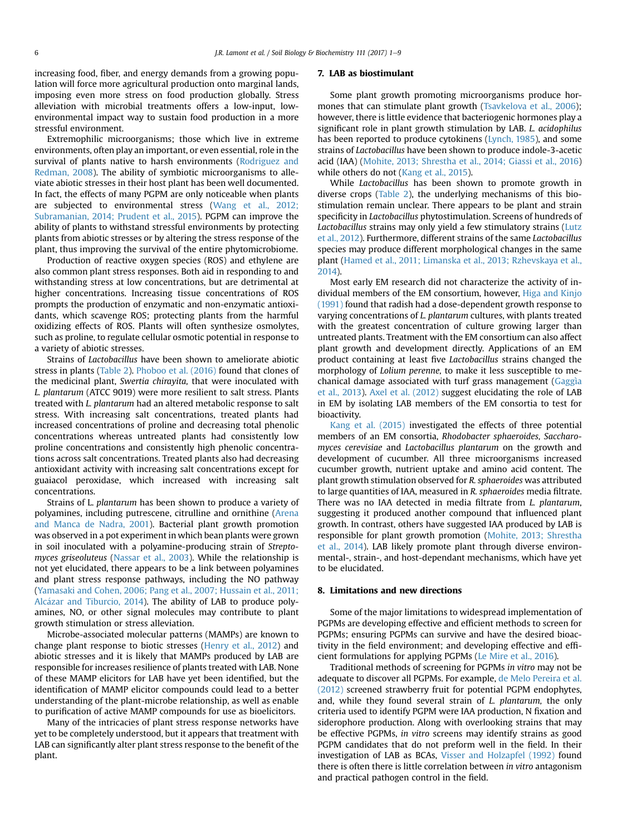increasing food, fiber, and energy demands from a growing population will force more agricultural production onto marginal lands, imposing even more stress on food production globally. Stress alleviation with microbial treatments offers a low-input, lowenvironmental impact way to sustain food production in a more stressful environment.

Extremophilic microorganisms; those which live in extreme environments, often play an important, or even essential, role in the survival of plants native to harsh environments ([Rodriguez and](#page-8-0) [Redman, 2008](#page-8-0)). The ability of symbiotic microorganisms to alleviate abiotic stresses in their host plant has been well documented. In fact, the effects of many PGPM are only noticeable when plants are subjected to environmental stress ([Wang et al., 2012;](#page-9-0) [Subramanian, 2014; Prudent et al., 2015](#page-9-0)). PGPM can improve the ability of plants to withstand stressful environments by protecting plants from abiotic stresses or by altering the stress response of the plant, thus improving the survival of the entire phytomicrobiome.

Production of reactive oxygen species (ROS) and ethylene are also common plant stress responses. Both aid in responding to and withstanding stress at low concentrations, but are detrimental at higher concentrations. Increasing tissue concentrations of ROS prompts the production of enzymatic and non-enzymatic antioxidants, which scavenge ROS; protecting plants from the harmful oxidizing effects of ROS. Plants will often synthesize osmolytes, such as proline, to regulate cellular osmotic potential in response to a variety of abiotic stresses.

Strains of Lactobacillus have been shown to ameliorate abiotic stress in plants [\(Table 2](#page-5-0)). [Phoboo et al. \(2016\)](#page-8-0) found that clones of the medicinal plant, Swertia chirayita, that were inoculated with L. plantarum (ATCC 9019) were more resilient to salt stress. Plants treated with L. plantarum had an altered metabolic response to salt stress. With increasing salt concentrations, treated plants had increased concentrations of proline and decreasing total phenolic concentrations whereas untreated plants had consistently low proline concentrations and consistently high phenolic concentrations across salt concentrations. Treated plants also had decreasing antioxidant activity with increasing salt concentrations except for guaiacol peroxidase, which increased with increasing salt concentrations.

Strains of L. plantarum has been shown to produce a variety of polyamines, including putrescene, citrulline and ornithine ([Arena](#page-7-0) [and Manca de Nadra, 2001\)](#page-7-0). Bacterial plant growth promotion was observed in a pot experiment in which bean plants were grown in soil inoculated with a polyamine-producing strain of Streptomyces griseoluteus [\(Nassar et al., 2003\)](#page-8-0). While the relationship is not yet elucidated, there appears to be a link between polyamines and plant stress response pathways, including the NO pathway ([Yamasaki and Cohen, 2006; Pang et al., 2007; Hussain et al., 2011;](#page-9-0) [Alc](#page-9-0)á[zar and Tiburcio, 2014](#page-9-0)). The ability of LAB to produce polyamines, NO, or other signal molecules may contribute to plant growth stimulation or stress alleviation.

Microbe-associated molecular patterns (MAMPs) are known to change plant response to biotic stresses [\(Henry et al., 2012](#page-7-0)) and abiotic stresses and it is likely that MAMPs produced by LAB are responsible for increases resilience of plants treated with LAB. None of these MAMP elicitors for LAB have yet been identified, but the identification of MAMP elicitor compounds could lead to a better understanding of the plant-microbe relationship, as well as enable to purification of active MAMP compounds for use as bioelicitors.

Many of the intricacies of plant stress response networks have yet to be completely understood, but it appears that treatment with LAB can significantly alter plant stress response to the benefit of the plant.

#### 7. LAB as biostimulant

Some plant growth promoting microorganisms produce hormones that can stimulate plant growth ([Tsavkelova et al., 2006\)](#page-9-0); however, there is little evidence that bacteriogenic hormones play a significant role in plant growth stimulation by LAB. L. acidophilus has been reported to produce cytokinens ([Lynch, 1985](#page-8-0)), and some strains of Lactobacillus have been shown to produce indole-3-acetic acid (IAA) [\(Mohite, 2013; Shrestha et al., 2014; Giassi et al., 2016\)](#page-8-0) while others do not [\(Kang et al., 2015](#page-8-0)).

While Lactobacillus has been shown to promote growth in diverse crops ([Table 2](#page-5-0)), the underlying mechanisms of this biostimulation remain unclear. There appears to be plant and strain specificity in Lactobacillus phytostimulation. Screens of hundreds of Lactobacillus strains may only yield a few stimulatory strains ([Lutz](#page-8-0) [et al., 2012\)](#page-8-0). Furthermore, different strains of the same Lactobacillus species may produce different morphological changes in the same plant ([Hamed et al., 2011; Limanska et al., 2013; Rzhevskaya et al.,](#page-7-0) [2014\)](#page-7-0).

Most early EM research did not characterize the activity of individual members of the EM consortium, however, [Higa and Kinjo](#page-8-0) [\(1991\)](#page-8-0) found that radish had a dose-dependent growth response to varying concentrations of L. plantarum cultures, with plants treated with the greatest concentration of culture growing larger than untreated plants. Treatment with the EM consortium can also affect plant growth and development directly. Applications of an EM product containing at least five Lactobacillus strains changed the morphology of Lolium perenne, to make it less susceptible to mechanical damage associated with turf grass management [\(Gaggìa](#page-7-0) [et al., 2013\)](#page-7-0). [Axel et al. \(2012\)](#page-7-0) suggest elucidating the role of LAB in EM by isolating LAB members of the EM consortia to test for bioactivity.

[Kang et al. \(2015\)](#page-8-0) investigated the effects of three potential members of an EM consortia, Rhodobacter sphaeroides, Saccharomyces cerevisiae and Lactobacillus plantarum on the growth and development of cucumber. All three microorganisms increased cucumber growth, nutrient uptake and amino acid content. The plant growth stimulation observed for R. sphaeroides was attributed to large quantities of IAA, measured in R. sphaeroides media filtrate. There was no IAA detected in media filtrate from L. plantarum, suggesting it produced another compound that influenced plant growth. In contrast, others have suggested IAA produced by LAB is responsible for plant growth promotion [\(Mohite, 2013; Shrestha](#page-8-0) [et al., 2014](#page-8-0)). LAB likely promote plant through diverse environmental-, strain-, and host-dependant mechanisms, which have yet to be elucidated.

#### 8. Limitations and new directions

Some of the major limitations to widespread implementation of PGPMs are developing effective and efficient methods to screen for PGPMs; ensuring PGPMs can survive and have the desired bioactivity in the field environment; and developing effective and efficient formulations for applying PGPMs [\(Le Mire et al., 2016](#page-8-0)).

Traditional methods of screening for PGPMs in vitro may not be adequate to discover all PGPMs. For example, [de Melo Pereira et al.](#page-8-0) [\(2012\)](#page-8-0) screened strawberry fruit for potential PGPM endophytes, and, while they found several strain of L. plantarum, the only criteria used to identify PGPM were IAA production, N fixation and siderophore production. Along with overlooking strains that may be effective PGPMs, in vitro screens may identify strains as good PGPM candidates that do not preform well in the field. In their investigation of LAB as BCAs, [Visser and Holzapfel \(1992\)](#page-9-0) found there is often there is little correlation between in vitro antagonism and practical pathogen control in the field.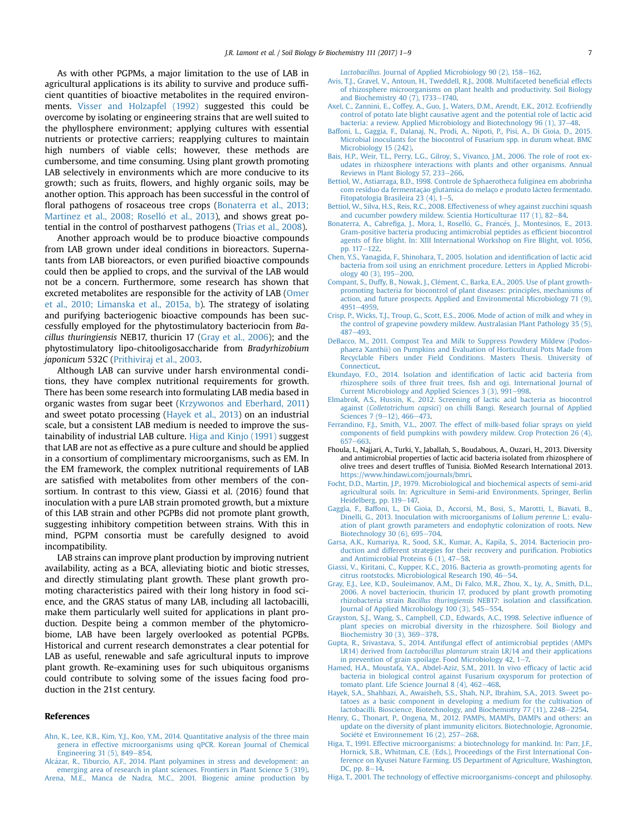<span id="page-7-0"></span>As with other PGPMs, a major limitation to the use of LAB in agricultural applications is its ability to survive and produce sufficient quantities of bioactive metabolites in the required environments. [Visser and Holzapfel \(1992\)](#page-9-0) suggested this could be overcome by isolating or engineering strains that are well suited to the phyllosphere environment; applying cultures with essential nutrients or protective carriers; reapplying cultures to maintain high numbers of viable cells; however, these methods are cumbersome, and time consuming. Using plant growth promoting LAB selectively in environments which are more conducive to its growth; such as fruits, flowers, and highly organic soils, may be another option. This approach has been successful in the control of floral pathogens of rosaceous tree crops (Bonaterra et al., 2013; Martinez et al., 2008; Roselló et al., 2013), and shows great potential in the control of postharvest pathogens ([Trias et al., 2008\)](#page-9-0).

Another approach would be to produce bioactive compounds from LAB grown under ideal conditions in bioreactors. Supernatants from LAB bioreactors, or even purified bioactive compounds could then be applied to crops, and the survival of the LAB would not be a concern. Furthermore, some research has shown that excreted metabolites are responsible for the activity of LAB [\(Omer](#page-8-0) [et al., 2010; Limanska et al., 2015a, b\)](#page-8-0). The strategy of isolating and purifying bacteriogenic bioactive compounds has been successfully employed for the phytostimulatory bacteriocin from Bacillus thuringiensis NEB17, thuricin 17 (Gray et al., 2006); and the phytostimulatory lipo-chitooligosaccharide from Bradyrhizobium japonicum 532C ([Prithiviraj et al., 2003.](#page-8-0)

Although LAB can survive under harsh environmental conditions, they have complex nutritional requirements for growth. There has been some research into formulating LAB media based in organic wastes from sugar beet [\(Krzywonos and Eberhard, 2011\)](#page-8-0) and sweet potato processing (Hayek et al., 2013) on an industrial scale, but a consistent LAB medium is needed to improve the sustainability of industrial LAB culture. [Higa and Kinjo \(1991\)](#page-8-0) suggest that LAB are not as effective as a pure culture and should be applied in a consortium of complimentary microorganisms, such as EM. In the EM framework, the complex nutritional requirements of LAB are satisfied with metabolites from other members of the consortium. In contrast to this view, Giassi et al. (2016) found that inoculation with a pure LAB strain promoted growth, but a mixture of this LAB strain and other PGPBs did not promote plant growth, suggesting inhibitory competition between strains. With this in mind, PGPM consortia must be carefully designed to avoid incompatibility.

LAB strains can improve plant production by improving nutrient availability, acting as a BCA, alleviating biotic and biotic stresses, and directly stimulating plant growth. These plant growth promoting characteristics paired with their long history in food science, and the GRAS status of many LAB, including all lactobacilli, make them particularly well suited for applications in plant production. Despite being a common member of the phytomicrobiome, LAB have been largely overlooked as potential PGPBs. Historical and current research demonstrates a clear potential for LAB as useful, renewable and safe agricultural inputs to improve plant growth. Re-examining uses for such ubiquitous organisms could contribute to solving some of the issues facing food production in the 21st century.

#### References

- [Ahn, K., Lee, K.B., Kim, Y.J., Koo, Y.M., 2014. Quantitative analysis of the three main](http://refhub.elsevier.com/S0038-0717(16)30415-1/sref1) [genera in effective microorganisms using qPCR. Korean Journal of Chemical](http://refhub.elsevier.com/S0038-0717(16)30415-1/sref1) [Engineering 31 \(5\), 849](http://refhub.elsevier.com/S0038-0717(16)30415-1/sref1)-[854.](http://refhub.elsevier.com/S0038-0717(16)30415-1/sref1)
- [Alc](http://refhub.elsevier.com/S0038-0717(16)30415-1/sref2)ázar, R., Tiburcio, A.F., 2014. Plant polyamines in stress and development: an [emerging area of research in plant sciences. Frontiers in Plant Science 5 \(319\)](http://refhub.elsevier.com/S0038-0717(16)30415-1/sref2). [Arena, M.E., Manca de Nadra, M.C., 2001. Biogenic amine production by](http://refhub.elsevier.com/S0038-0717(16)30415-1/sref3)

Lactobacillus[. Journal of Applied Microbiology 90 \(2\), 158](http://refhub.elsevier.com/S0038-0717(16)30415-1/sref3)-[162.](http://refhub.elsevier.com/S0038-0717(16)30415-1/sref3)

- [Avis, T.J., Gravel, V., Antoun, H., Tweddell, R.J., 2008. Multifaceted bene](http://refhub.elsevier.com/S0038-0717(16)30415-1/sref4)ficial effects [of rhizosphere microorganisms on plant health and productivity. Soil Biology](http://refhub.elsevier.com/S0038-0717(16)30415-1/sref4) and Biochemistry 40  $(7)$ , 1733-[1740.](http://refhub.elsevier.com/S0038-0717(16)30415-1/sref4)
- [Axel, C., Zannini, E., Coffey, A., Guo, J., Waters, D.M., Arendt, E.K., 2012. Ecofriendly](http://refhub.elsevier.com/S0038-0717(16)30415-1/sref5) [control of potato late blight causative agent and the potential role of lactic acid](http://refhub.elsevier.com/S0038-0717(16)30415-1/sref5) [bacteria: a review. Applied Microbiology and Biotechnology 96 \(1\), 37](http://refhub.elsevier.com/S0038-0717(16)30415-1/sref5)-[48.](http://refhub.elsevier.com/S0038-0717(16)30415-1/sref5)
- [Baffoni, L., Gaggia, F., Dalanaj, N., Prodi, A., Nipoti, P., Pisi, A., Di Gioia, D., 2015.](http://refhub.elsevier.com/S0038-0717(16)30415-1/sref6) [Microbial inoculants for the biocontrol of Fusarium spp. in durum wheat. BMC](http://refhub.elsevier.com/S0038-0717(16)30415-1/sref6) [Microbiology 15 \(242\)](http://refhub.elsevier.com/S0038-0717(16)30415-1/sref6).
- [Bais, H.P., Weir, T.L., Perry, L.G., Gilroy, S., Vivanco, J.M., 2006. The role of root ex](http://refhub.elsevier.com/S0038-0717(16)30415-1/sref7)[udates in rhizosphere interactions with plants and other organisms. Annual](http://refhub.elsevier.com/S0038-0717(16)30415-1/sref7) [Reviews in Plant Biology 57, 233](http://refhub.elsevier.com/S0038-0717(16)30415-1/sref7)-[266](http://refhub.elsevier.com/S0038-0717(16)30415-1/sref7).
- [Bettiol, W., Astiarraga, B.D., 1998. Controle de Sphaerotheca fuliginea em abobrinha](http://refhub.elsevier.com/S0038-0717(16)30415-1/sref8) com resíduo da fermentação glutâmica do melaço e produto lácteo fermentado. Fitopatologia Brasileira 23  $(4)$ , 1-[5](http://refhub.elsevier.com/S0038-0717(16)30415-1/sref8).
- [Bettiol, W., Silva, H.S., Reis, R.C., 2008. Effectiveness of whey against zucchini squash](http://refhub.elsevier.com/S0038-0717(16)30415-1/sref9) [and cucumber powdery mildew. Scientia Horticulturae 117 \(1\), 82](http://refhub.elsevier.com/S0038-0717(16)30415-1/sref9)-[84](http://refhub.elsevier.com/S0038-0717(16)30415-1/sref9).
- Bonaterra, A., Cabrefi[ga, J., Mora, I., Rosell](http://refhub.elsevier.com/S0038-0717(16)30415-1/sref10)ó[, G., Franc](http://refhub.elsevier.com/S0038-0717(16)30415-1/sref10)é[s, J., Montesinos, E., 2013.](http://refhub.elsevier.com/S0038-0717(16)30415-1/sref10)<br>[Gram-positive bacteria producing antimicrobial peptides as ef](http://refhub.elsevier.com/S0038-0717(16)30415-1/sref10)ficient biocontrol agents of fi[re blight. In: XIII International Workshop on Fire Blight, vol. 1056,](http://refhub.elsevier.com/S0038-0717(16)30415-1/sref10) [pp. 117](http://refhub.elsevier.com/S0038-0717(16)30415-1/sref10)-[122.](http://refhub.elsevier.com/S0038-0717(16)30415-1/sref10)
- [Chen, Y.S., Yanagida, F., Shinohara, T., 2005. Isolation and identi](http://refhub.elsevier.com/S0038-0717(16)30415-1/sref11)fication of lactic acid [bacteria from soil using an enrichment procedure. Letters in Applied Microbi](http://refhub.elsevier.com/S0038-0717(16)30415-1/sref11)[ology 40 \(3\), 195](http://refhub.elsevier.com/S0038-0717(16)30415-1/sref11)-[200](http://refhub.elsevier.com/S0038-0717(16)30415-1/sref11).
- Compant, S., Duffy, B., Nowak, J., Clément, C., Barka, E.A., 2005. Use of plant growth[promoting bacteria for biocontrol of plant diseases: principles, mechanisms of](http://refhub.elsevier.com/S0038-0717(16)30415-1/sref12) [action, and future prospects. Applied and Environmental Microbiology 71 \(9\),](http://refhub.elsevier.com/S0038-0717(16)30415-1/sref12) [4951](http://refhub.elsevier.com/S0038-0717(16)30415-1/sref12)-[4959](http://refhub.elsevier.com/S0038-0717(16)30415-1/sref12)
- [Crisp, P., Wicks, T.J., Troup, G., Scott, E.S., 2006. Mode of action of milk and whey in](http://refhub.elsevier.com/S0038-0717(16)30415-1/sref13) [the control of grapevine powdery mildew. Australasian Plant Pathology 35 \(5\),](http://refhub.elsevier.com/S0038-0717(16)30415-1/sref13)  $487 - 493$  $487 - 493$
- [DeBacco, M., 2011. Compost Tea and Milk to Suppress Powdery Mildew \(Podos](http://refhub.elsevier.com/S0038-0717(16)30415-1/sref14)[phaera Xanthii\) on Pumpkins and Evaluation of Horticultural Pots Made from](http://refhub.elsevier.com/S0038-0717(16)30415-1/sref14) [Recyclable Fibers under Field Conditions. Masters Thesis. University of](http://refhub.elsevier.com/S0038-0717(16)30415-1/sref14) [Connecticut](http://refhub.elsevier.com/S0038-0717(16)30415-1/sref14).
- [Ekundayo, F.O., 2014. Isolation and identi](http://refhub.elsevier.com/S0038-0717(16)30415-1/sref15)fication of lactic acid bacteria from [rhizosphere soils of three fruit trees,](http://refhub.elsevier.com/S0038-0717(16)30415-1/sref15) fish and ogi. International Journal of [Current Microbiology and Applied Sciences 3 \(3\), 991](http://refhub.elsevier.com/S0038-0717(16)30415-1/sref15)-[998.](http://refhub.elsevier.com/S0038-0717(16)30415-1/sref15)
- [Elmabrok, A.S., Hussin, K., 2012. Screening of lactic acid bacteria as biocontrol](http://refhub.elsevier.com/S0038-0717(16)30415-1/sref16) against (Colletotrichum capsici[\) on chilli Bangi. Research Journal of Applied](http://refhub.elsevier.com/S0038-0717(16)30415-1/sref16) Sciences  $7 (9-12)$ ,  $466-473$ .
- [Ferrandino, F.J., Smith, V.L., 2007. The effect of milk-based foliar sprays on yield](http://refhub.elsevier.com/S0038-0717(16)30415-1/sref17) components of fi[eld pumpkins with powdery mildew. Crop Protection 26 \(4\),](http://refhub.elsevier.com/S0038-0717(16)30415-1/sref17) [657](http://refhub.elsevier.com/S0038-0717(16)30415-1/sref17)-[663.](http://refhub.elsevier.com/S0038-0717(16)30415-1/sref17)
- Fhoula, I., Najjari, A., Turki, Y., Jaballah, S., Boudabous, A., Ouzari, H., 2013. Diversity and antimicrobial properties of lactic acid bacteria isolated from rhizosphere of olive trees and desert truffles of Tunisia. BioMed Research International 2013. [https://www.hindawi.com/journals/bmri.](https://www.hindawi.com/journals/bmri)
- [Focht, D.D., Martin, J.P., 1979. Microbiological and biochemical aspects of semi-arid](http://refhub.elsevier.com/S0038-0717(16)30415-1/sref19) [agricultural soils. In: Agriculture in Semi-arid Environments. Springer, Berlin](http://refhub.elsevier.com/S0038-0717(16)30415-1/sref19) [Heidelberg, pp. 119](http://refhub.elsevier.com/S0038-0717(16)30415-1/sref19)-[147.](http://refhub.elsevier.com/S0038-0717(16)30415-1/sref19)
- [Gaggìa, F., Baffoni, L., Di Gioia, D., Accorsi, M., Bosi, S., Marotti, I., Biavati, B.,](http://refhub.elsevier.com/S0038-0717(16)30415-1/sref20) [Dinelli, G., 2013. Inoculation with microorganisms of](http://refhub.elsevier.com/S0038-0717(16)30415-1/sref20) Lolium perenne L.: evalu[ation of plant growth parameters and endophytic colonization of roots. New](http://refhub.elsevier.com/S0038-0717(16)30415-1/sref20) [Biotechnology 30 \(6\), 695](http://refhub.elsevier.com/S0038-0717(16)30415-1/sref20)-[704](http://refhub.elsevier.com/S0038-0717(16)30415-1/sref20).
- [Garsa, A.K., Kumariya, R., Sood, S.K., Kumar, A., Kapila, S., 2014. Bacteriocin pro](http://refhub.elsevier.com/S0038-0717(16)30415-1/sref21)[duction and different strategies for their recovery and puri](http://refhub.elsevier.com/S0038-0717(16)30415-1/sref21)fication. Probiotics and Antimicrobial Proteins  $6(1)$ , 47-[58](http://refhub.elsevier.com/S0038-0717(16)30415-1/sref21).
- [Giassi, V., Kiritani, C., Kupper, K.C., 2016. Bacteria as growth-promoting agents for](http://refhub.elsevier.com/S0038-0717(16)30415-1/sref22) [citrus rootstocks. Microbiological Research 190, 46](http://refhub.elsevier.com/S0038-0717(16)30415-1/sref22)-[54](http://refhub.elsevier.com/S0038-0717(16)30415-1/sref22).
- [Gray, E.J., Lee, K.D., Souleimanov, A.M., Di Falco, M.R., Zhou, X., Ly, A., Smith, D.L.,](http://refhub.elsevier.com/S0038-0717(16)30415-1/sref23) [2006. A novel bacteriocin, thuricin 17, produced by plant growth promoting](http://refhub.elsevier.com/S0038-0717(16)30415-1/sref23) rhizobacteria strain Bacillus thuringiensis [NEB17: isolation and classi](http://refhub.elsevier.com/S0038-0717(16)30415-1/sref23)fication. [Journal of Applied Microbiology 100 \(3\), 545](http://refhub.elsevier.com/S0038-0717(16)30415-1/sref23)-[554.](http://refhub.elsevier.com/S0038-0717(16)30415-1/sref23)
- [Grayston, S.J., Wang, S., Campbell, C.D., Edwards, A.C., 1998. Selective in](http://refhub.elsevier.com/S0038-0717(16)30415-1/sref24)fluence of [plant species on microbial diversity in the rhizosphere. Soil Biology and](http://refhub.elsevier.com/S0038-0717(16)30415-1/sref24) [Biochemistry 30 \(3\), 369](http://refhub.elsevier.com/S0038-0717(16)30415-1/sref24)-[378](http://refhub.elsevier.com/S0038-0717(16)30415-1/sref24).
- [Gupta, R., Srivastava, S., 2014. Antifungal effect of antimicrobial peptides \(AMPs](http://refhub.elsevier.com/S0038-0717(16)30415-1/sref25) LR14) derived from Lactobacillus plantarum [strain LR/14 and their applications](http://refhub.elsevier.com/S0038-0717(16)30415-1/sref25) in prevention of grain spoilage. Food Microbiology  $42$ ,  $1-7$ .
- [Hamed, H.A., Moustafa, Y.A., Abdel-Aziz, S.M., 2011. In vivo ef](http://refhub.elsevier.com/S0038-0717(16)30415-1/sref26)ficacy of lactic acid [bacteria in biological control against Fusarium oxysporum for protection of](http://refhub.elsevier.com/S0038-0717(16)30415-1/sref26) tomato plant. Life Science Journal 8  $(4)$ , 462-[468](http://refhub.elsevier.com/S0038-0717(16)30415-1/sref26).
- [Hayek, S.A., Shahbazi, A., Awaisheh, S.S., Shah, N.P., Ibrahim, S.A., 2013. Sweet po](http://refhub.elsevier.com/S0038-0717(16)30415-1/sref27)[tatoes as a basic component in developing a medium for the cultivation of](http://refhub.elsevier.com/S0038-0717(16)30415-1/sref27) [lactobacilli. Bioscience, Biotechnology, and Biochemistry 77 \(11\), 2248](http://refhub.elsevier.com/S0038-0717(16)30415-1/sref27)-[2254.](http://refhub.elsevier.com/S0038-0717(16)30415-1/sref27)
- [Henry, G., Thonart, P., Ongena, M., 2012. PAMPs, MAMPs, DAMPs and others: an](http://refhub.elsevier.com/S0038-0717(16)30415-1/sref28) [update on the diversity of plant immunity elicitors. Biotechnologie, Agronomie,](http://refhub.elsevier.com/S0038-0717(16)30415-1/sref28) Société et Environnement 16 (2), 257-[268.](http://refhub.elsevier.com/S0038-0717(16)30415-1/sref28)
- [Higa, T., 1991. Effective microorganisms: a biotechnology for mankind. In: Parr, J.F.,](http://refhub.elsevier.com/S0038-0717(16)30415-1/sref29) [Hornick, S.B., Whitman, C.E. \(Eds.\), Proceedings of the First International Con](http://refhub.elsevier.com/S0038-0717(16)30415-1/sref29)[ference on Kyusei Nature Farming. US Department of Agriculture, Washington,](http://refhub.elsevier.com/S0038-0717(16)30415-1/sref29) DC, pp.  $8-14$  $8-14$ .
- [Higa, T., 2001. The technology of effective microorganisms-concept and philosophy.](http://refhub.elsevier.com/S0038-0717(16)30415-1/sref30)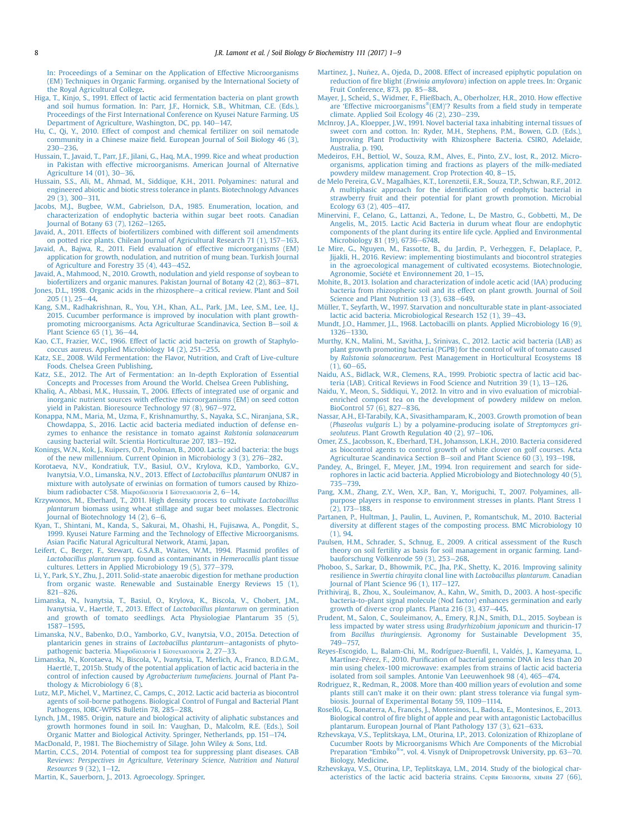<span id="page-8-0"></span>[In: Proceedings of a Seminar on the Application of Effective Microorganisms](http://refhub.elsevier.com/S0038-0717(16)30415-1/sref30) [\(EM\) Techniques in Organic Farming. organised by the International Society of](http://refhub.elsevier.com/S0038-0717(16)30415-1/sref30) [the Royal Agricultural College](http://refhub.elsevier.com/S0038-0717(16)30415-1/sref30).

- [Higa, T., Kinjo, S., 1991. Effect of lactic acid fermentation bacteria on plant growth](http://refhub.elsevier.com/S0038-0717(16)30415-1/sref31) [and soil humus formation. In: Parr, J.F., Hornick, S.B., Whitman, C.E. \(Eds.\),](http://refhub.elsevier.com/S0038-0717(16)30415-1/sref31) [Proceedings of the First International Conference on Kyusei Nature Farming. US](http://refhub.elsevier.com/S0038-0717(16)30415-1/sref31) [Department of Agriculture, Washington, DC, pp. 140](http://refhub.elsevier.com/S0038-0717(16)30415-1/sref31)–[147.](http://refhub.elsevier.com/S0038-0717(16)30415-1/sref31)
- [Hu, C., Qi, Y., 2010. Effect of compost and chemical fertilizer on soil nematode](http://refhub.elsevier.com/S0038-0717(16)30415-1/sref32) community in a Chinese maize fi[eld. European Journal of Soil Biology 46 \(3\),](http://refhub.elsevier.com/S0038-0717(16)30415-1/sref32) [230](http://refhub.elsevier.com/S0038-0717(16)30415-1/sref32)-236
- [Hussain, T., Javaid, T., Parr, J.F., Jilani, G., Haq, M.A., 1999. Rice and wheat production](http://refhub.elsevier.com/S0038-0717(16)30415-1/sref33) [in Pakistan with effective microorganisms. American Journal of Alternative](http://refhub.elsevier.com/S0038-0717(16)30415-1/sref33) Agriculture  $14(01)$ ,  $30-36$  $30-36$ .
- [Hussain, S.S., Ali, M., Ahmad, M., Siddique, K.H., 2011. Polyamines: natural and](http://refhub.elsevier.com/S0038-0717(16)30415-1/sref34) [engineered abiotic and biotic stress tolerance in plants. Biotechnology Advances](http://refhub.elsevier.com/S0038-0717(16)30415-1/sref34)  $29(3)$ ,  $300-311$ .
- [Jacobs, M.J., Bugbee, W.M., Gabrielson, D.A., 1985. Enumeration, location, and](http://refhub.elsevier.com/S0038-0717(16)30415-1/sref35) [characterization of endophytic bacteria within sugar beet roots. Canadian](http://refhub.elsevier.com/S0038-0717(16)30415-1/sref35) [Journal of Botany 63 \(7\), 1262](http://refhub.elsevier.com/S0038-0717(16)30415-1/sref35)-[1265.](http://refhub.elsevier.com/S0038-0717(16)30415-1/sref35)
- [Javaid, A., 2011. Effects of biofertilizers combined with different soil amendments](http://refhub.elsevier.com/S0038-0717(16)30415-1/sref36) [on potted rice plants. Chilean Journal of Agricultural Research 71 \(1\), 157](http://refhub.elsevier.com/S0038-0717(16)30415-1/sref36)-[163](http://refhub.elsevier.com/S0038-0717(16)30415-1/sref36).
- [Javaid, A., Bajwa, R., 2011. Field evaluation of effective microorganisms \(EM\)](http://refhub.elsevier.com/S0038-0717(16)30415-1/sref37) [application for growth, nodulation, and nutrition of mung bean. Turkish Journal](http://refhub.elsevier.com/S0038-0717(16)30415-1/sref37) of Agriculture and Forestry  $35(4)$ ,  $443-452$  $443-452$ .
- [Javaid, A., Mahmood, N., 2010. Growth, nodulation and yield response of soybean to](http://refhub.elsevier.com/S0038-0717(16)30415-1/sref38) biofertilizers and organic manures. Pakistan Journal of Botany  $42$  (2),  $863-871$ .
- [Jones, D.L., 1998. Organic acids in the rhizosphere](http://refhub.elsevier.com/S0038-0717(16)30415-1/sref39)-[a critical review. Plant and Soil](http://refhub.elsevier.com/S0038-0717(16)30415-1/sref39)  $205(1)$ ,  $25-44$  $25-44$ .
- [Kang, S.M., Radhakrishnan, R., You, Y.H., Khan, A.L., Park, J.M., Lee, S.M., Lee, I.J.,](http://refhub.elsevier.com/S0038-0717(16)30415-1/sref40) [2015. Cucumber performance is improved by inoculation with plant growth](http://refhub.elsevier.com/S0038-0717(16)30415-1/sref40)[promoting microorganisms. Acta Agriculturae Scandinavica, Section B](http://refhub.elsevier.com/S0038-0717(16)30415-1/sref40)-[soil](http://refhub.elsevier.com/S0038-0717(16)30415-1/sref40)  $&$ Plant Science  $65(1)$ ,  $36-44$ .
- [Kao, C.T., Frazier, W.C., 1966. Effect of lactic acid bacteria on growth of Staphylo](http://refhub.elsevier.com/S0038-0717(16)30415-1/sref41)[coccus aureus. Applied Microbiology 14 \(2\), 251](http://refhub.elsevier.com/S0038-0717(16)30415-1/sref41)-[255](http://refhub.elsevier.com/S0038-0717(16)30415-1/sref41).
- [Katz, S.E., 2008. Wild Fermentation: the Flavor, Nutrition, and Craft of Live-culture](http://refhub.elsevier.com/S0038-0717(16)30415-1/sref42) [Foods. Chelsea Green Publishing](http://refhub.elsevier.com/S0038-0717(16)30415-1/sref42).
- [Katz, S.E., 2012. The Art of Fermentation: an In-depth Exploration of Essential](http://refhub.elsevier.com/S0038-0717(16)30415-1/sref43) [Concepts and Processes from Around the World. Chelsea Green Publishing.](http://refhub.elsevier.com/S0038-0717(16)30415-1/sref43)
- [Khaliq, A., Abbasi, M.K., Hussain, T., 2006. Effects of integrated use of organic and](http://refhub.elsevier.com/S0038-0717(16)30415-1/sref44) [inorganic nutrient sources with effective microorganisms \(EM\) on seed cotton](http://refhub.elsevier.com/S0038-0717(16)30415-1/sref44) [yield in Pakistan. Bioresource Technology 97 \(8\), 967](http://refhub.elsevier.com/S0038-0717(16)30415-1/sref44)-[972.](http://refhub.elsevier.com/S0038-0717(16)30415-1/sref44)
- [Konappa, N.M., Maria, M., Uzma, F., Krishnamurthy, S., Nayaka, S.C., Niranjana, S.R.,](http://refhub.elsevier.com/S0038-0717(16)30415-1/sref45) [Chowdappa, S., 2016. Lactic acid bacteria mediated induction of defense en](http://refhub.elsevier.com/S0038-0717(16)30415-1/sref45)[zymes to enhance the resistance in tomato against](http://refhub.elsevier.com/S0038-0717(16)30415-1/sref45) Ralstonia solanacearum [causing bacterial wilt. Scientia Horticulturae 207, 183](http://refhub.elsevier.com/S0038-0717(16)30415-1/sref45)-[192.](http://refhub.elsevier.com/S0038-0717(16)30415-1/sref45)
- [Konings, W.N., Kok, J., Kuipers, O.P., Poolman, B., 2000. Lactic acid bacteria: the bugs](http://refhub.elsevier.com/S0038-0717(16)30415-1/sref46) [of the new millennium. Current Opinion in Microbiology 3 \(3\), 276](http://refhub.elsevier.com/S0038-0717(16)30415-1/sref46)-[282.](http://refhub.elsevier.com/S0038-0717(16)30415-1/sref46)
- [Korotaeva, N.V., Kondratiuk, T.V., Basiul, O.V., Krylova, K.D., Yamborko, G.V.,](http://refhub.elsevier.com/S0038-0717(16)30415-1/sref47) [Ivanytsia, V.O., Limanska, N.V., 2013. Effect of](http://refhub.elsevier.com/S0038-0717(16)30415-1/sref47) Lactobacillus plantarum ONU87 in [mixture with autolysate of erwinias on formation of tumors caused by Rhizo](http://refhub.elsevier.com/S0038-0717(16)30415-1/sref47)[bium radiobacter](http://refhub.elsevier.com/S0038-0717(16)30415-1/sref47) С[58.](http://refhub.elsevier.com/S0038-0717(16)30415-1/sref47) Мікр[о](http://refhub.elsevier.com/S0038-0717(16)30415-1/sref47)біол[ог](http://refhub.elsevier.com/S0038-0717(16)30415-1/sref47)і[я](http://refhub.elsevier.com/S0038-0717(16)30415-1/sref47) [І Б](http://refhub.elsevier.com/S0038-0717(16)30415-1/sref47)іотехнологія [2, 6](http://refhub.elsevier.com/S0038-0717(16)30415-1/sref47)-[14](http://refhub.elsevier.com/S0038-0717(16)30415-1/sref47).
- [Krzywonos, M., Eberhard, T., 2011. High density process to cultivate](http://refhub.elsevier.com/S0038-0717(16)30415-1/sref48) Lactobacillus plantarum [biomass using wheat stillage and sugar beet molasses. Electronic](http://refhub.elsevier.com/S0038-0717(16)30415-1/sref48) [Journal of Biotechnology 14 \(2\), 6](http://refhub.elsevier.com/S0038-0717(16)30415-1/sref48)-[6](http://refhub.elsevier.com/S0038-0717(16)30415-1/sref48).
- [Kyan, T., Shintani, M., Kanda, S., Sakurai, M., Ohashi, H., Fujisawa, A., Pongdit, S.,](http://refhub.elsevier.com/S0038-0717(16)30415-1/sref49) [1999. Kyusei Nature Farming and the Technology of Effective Microorganisms.](http://refhub.elsevier.com/S0038-0717(16)30415-1/sref49) Asian Pacifi[c Natural Agricultural Network, Atami, Japan](http://refhub.elsevier.com/S0038-0717(16)30415-1/sref49).
- [Leifert, C., Berger, F., Stewart, G.S.A.B., Waites, W.M., 1994. Plasmid pro](http://refhub.elsevier.com/S0038-0717(16)30415-1/sref50)files of Lactobacillus plantarum [spp. found as contaminants in](http://refhub.elsevier.com/S0038-0717(16)30415-1/sref50) Hemerocallis plant tissue [cultures. Letters in Applied Microbiology 19 \(5\), 377](http://refhub.elsevier.com/S0038-0717(16)30415-1/sref50)-[379](http://refhub.elsevier.com/S0038-0717(16)30415-1/sref50).
- [Li, Y., Park, S.Y., Zhu, J., 2011. Solid-state anaerobic digestion for methane production](http://refhub.elsevier.com/S0038-0717(16)30415-1/sref51) [from organic waste. Renewable and Sustainable Energy Reviews 15 \(1\),](http://refhub.elsevier.com/S0038-0717(16)30415-1/sref51) [821](http://refhub.elsevier.com/S0038-0717(16)30415-1/sref51)-[826.](http://refhub.elsevier.com/S0038-0717(16)30415-1/sref51)
- [Limanska, N., Ivanytsia, T., Basiul, O., Krylova, K., Biscola, V., Chobert, J.M.,](http://refhub.elsevier.com/S0038-0717(16)30415-1/sref52) Ivanytsia, V., Haertlé, T., 2013. Effect of [Lactobacillus plantarum](http://refhub.elsevier.com/S0038-0717(16)30415-1/sref52) on germination [and growth of tomato seedlings. Acta Physiologiae Plantarum 35 \(5\),](http://refhub.elsevier.com/S0038-0717(16)30415-1/sref52)  $1587 - 1595$  $1587 - 1595$  $1587 - 1595$ .
- [Limanska, N.V., Babenko, D.O., Yamborko, G.V., Ivanytsia, V.O., 2015a. Detection of](http://refhub.elsevier.com/S0038-0717(16)30415-1/sref53) [plantaricin genes in strains of](http://refhub.elsevier.com/S0038-0717(16)30415-1/sref53) Lactobacillus plantarum-[antagonists of phyto](http://refhub.elsevier.com/S0038-0717(16)30415-1/sref53)[pathogenic bacteria.](http://refhub.elsevier.com/S0038-0717(16)30415-1/sref53) Мікр[о](http://refhub.elsevier.com/S0038-0717(16)30415-1/sref53)біол[ог](http://refhub.elsevier.com/S0038-0717(16)30415-1/sref53)і[я І Бі](http://refhub.elsevier.com/S0038-0717(16)30415-1/sref53)отехнологія [2, 27](http://refhub.elsevier.com/S0038-0717(16)30415-1/sref53)-[33](http://refhub.elsevier.com/S0038-0717(16)30415-1/sref53).
- [Limanska, N., Korotaeva, N., Biscola, V., Ivanytsia, T., Merlich, A., Franco, B.D.G.M.,](http://refhub.elsevier.com/S0038-0717(16)30415-1/sref54) Haertlé, T., 2015b. Study of the potential application of lactic acid bacteria in the [control of infection caused by](http://refhub.elsevier.com/S0038-0717(16)30415-1/sref54) Agrobacterium tumefaciens. Journal of Plant Pa[thology](http://refhub.elsevier.com/S0038-0717(16)30415-1/sref54) & [Microbiology 6 \(8\).](http://refhub.elsevier.com/S0038-0717(16)30415-1/sref54)
- [Lutz, M.P., Michel, V., Martinez, C., Camps, C., 2012. Lactic acid bacteria as biocontrol](http://refhub.elsevier.com/S0038-0717(16)30415-1/sref55) [agents of soil-borne pathogens. Biological Control of Fungal and Bacterial Plant](http://refhub.elsevier.com/S0038-0717(16)30415-1/sref55) [Pathogens, IOBC-WPRS Bulletin 78, 285](http://refhub.elsevier.com/S0038-0717(16)30415-1/sref55)-[288.](http://refhub.elsevier.com/S0038-0717(16)30415-1/sref55)
- [Lynch, J.M., 1985. Origin, nature and biological activity of aliphatic substances and](http://refhub.elsevier.com/S0038-0717(16)30415-1/sref56) [growth hormones found in soil. In: Vaughan, D., Malcolm, R.E. \(Eds.\), Soil](http://refhub.elsevier.com/S0038-0717(16)30415-1/sref56) [Organic Matter and Biological Activity. Springer, Netherlands, pp. 151](http://refhub.elsevier.com/S0038-0717(16)30415-1/sref56)–[174](http://refhub.elsevier.com/S0038-0717(16)30415-1/sref56).
- [MacDonald, P., 1981. The Biochemistry of Silage. John Wiley](http://refhub.elsevier.com/S0038-0717(16)30415-1/sref57) & [Sons, Ltd.](http://refhub.elsevier.com/S0038-0717(16)30415-1/sref57)
- [Martin, C.C.S., 2014. Potential of compost tea for suppressing plant diseases. CAB](http://refhub.elsevier.com/S0038-0717(16)30415-1/sref59) Rev[iews: Perspectives in Agriculture, Veterinary Science, Nutrition and Natural](http://refhub.elsevier.com/S0038-0717(16)30415-1/sref59) [Resources](http://refhub.elsevier.com/S0038-0717(16)30415-1/sref59)  $9(32)$ ,  $1-12$  $1-12$ .
- [Martin, K., Sauerborn, J., 2013. Agroecology. Springer.](http://refhub.elsevier.com/S0038-0717(16)30415-1/sref60)
- Martinez, J., Nuñez, A., Ojeda, D., 2008. Effect of increased epiphytic population on reduction of fire blight (Erwinia amylovora[\) infection on apple trees. In: Organic](http://refhub.elsevier.com/S0038-0717(16)30415-1/sref61) [Fruit Conference, 873, pp. 85](http://refhub.elsevier.com/S0038-0717(16)30415-1/sref61)-[88](http://refhub.elsevier.com/S0038-0717(16)30415-1/sref61).
- [Mayer, J., Scheid, S., Widmer, F., Flie](http://refhub.elsevier.com/S0038-0717(16)30415-1/sref62)ß[bach, A., Oberholzer, H.R., 2010. How effective](http://refhub.elsevier.com/S0038-0717(16)30415-1/sref62) are '[Effective](http://refhub.elsevier.com/S0038-0717(16)30415-1/sref62) [microorganisms](http://refhub.elsevier.com/S0038-0717(16)30415-1/sref62)®(EM)'? Results from a fi[eld study in temperate](http://refhub.elsevier.com/S0038-0717(16)30415-1/sref62) climate. Applied Soil Ecology  $46(2)$ , 230–[239](http://refhub.elsevier.com/S0038-0717(16)30415-1/sref62).
- [McInroy, J.A., Kloepper, J.W., 1991. Novel bacterial taxa inhabiting internal tissues of](http://refhub.elsevier.com/S0038-0717(16)30415-1/sref63) [sweet corn and cotton. In: Ryder, M.H., Stephens, P.M., Bowen, G.D. \(Eds.\),](http://refhub.elsevier.com/S0038-0717(16)30415-1/sref63) [Improving Plant Productivity with Rhizosphere Bacteria. CSIRO, Adelaide,](http://refhub.elsevier.com/S0038-0717(16)30415-1/sref63) [Australia, p. 190](http://refhub.elsevier.com/S0038-0717(16)30415-1/sref63).
- [Medeiros, F.H., Bettiol, W., Souza, R.M., Alves, E., Pinto, Z.V., Iost, R., 2012. Micro](http://refhub.elsevier.com/S0038-0717(16)30415-1/sref64)[organisms, application timing and fractions as players of the milk-mediated](http://refhub.elsevier.com/S0038-0717(16)30415-1/sref64) [powdery mildew management. Crop Protection 40, 8](http://refhub.elsevier.com/S0038-0717(16)30415-1/sref64)-[15](http://refhub.elsevier.com/S0038-0717(16)30415-1/sref64).
- [de Melo Pereira, G.V., Magalh](http://refhub.elsevier.com/S0038-0717(16)30415-1/sref65)ã[es, K.T., Lorenzetii, E.R., Souza, T.P., Schwan, R.F., 2012.](http://refhub.elsevier.com/S0038-0717(16)30415-1/sref65) [A multiphasic approach for the identi](http://refhub.elsevier.com/S0038-0717(16)30415-1/sref65)fication of endophytic bacterial in [strawberry fruit and their potential for plant growth promotion. Microbial](http://refhub.elsevier.com/S0038-0717(16)30415-1/sref65) Ecology 63 $(2)$ , 405-[417.](http://refhub.elsevier.com/S0038-0717(16)30415-1/sref65)
- [Minervini, F., Celano, G., Lattanzi, A., Tedone, L., De Mastro, G., Gobbetti, M., De](http://refhub.elsevier.com/S0038-0717(16)30415-1/sref66) [Angelis, M., 2015. Lactic Acid Bacteria in durum wheat](http://refhub.elsevier.com/S0038-0717(16)30415-1/sref66) flour are endophytic [components of the plant during its entire life cycle. Applied and Environmental](http://refhub.elsevier.com/S0038-0717(16)30415-1/sref66) [Microbiology 81 \(19\), 6736](http://refhub.elsevier.com/S0038-0717(16)30415-1/sref66)-[6748](http://refhub.elsevier.com/S0038-0717(16)30415-1/sref66).
- [Le Mire, G., Nguyen, M., Fassotte, B., du Jardin, P., Verheggen, F., Delaplace, P.,](http://refhub.elsevier.com/S0038-0717(16)30415-1/sref67) [Jijakli, H., 2016. Review: implementing biostimulants and biocontrol strategies](http://refhub.elsevier.com/S0038-0717(16)30415-1/sref67) [in the agroecological management of cultivated ecosystems. Biotechnologie,](http://refhub.elsevier.com/S0038-0717(16)30415-1/sref67) [Agronomie, Soci](http://refhub.elsevier.com/S0038-0717(16)30415-1/sref67)é[t](http://refhub.elsevier.com/S0038-0717(16)30415-1/sref67)é [et Environnement 20, 1](http://refhub.elsevier.com/S0038-0717(16)30415-1/sref67)-[15.](http://refhub.elsevier.com/S0038-0717(16)30415-1/sref67)
- [Mohite, B., 2013. Isolation and characterization of indole acetic acid \(IAA\) producing](http://refhub.elsevier.com/S0038-0717(16)30415-1/sref68) [bacteria from rhizospheric soil and its effect on plant growth. Journal of Soil](http://refhub.elsevier.com/S0038-0717(16)30415-1/sref68) [Science and Plant Nutrition 13 \(3\), 638](http://refhub.elsevier.com/S0038-0717(16)30415-1/sref68)-[649](http://refhub.elsevier.com/S0038-0717(16)30415-1/sref68).
- [Müller, T., Seyfarth, W., 1997. Starvation and nonculturable state in plant-associated](http://refhub.elsevier.com/S0038-0717(16)30415-1/sref69) [lactic acid bacteria. Microbiological Research 152 \(1\), 39](http://refhub.elsevier.com/S0038-0717(16)30415-1/sref69)-[43.](http://refhub.elsevier.com/S0038-0717(16)30415-1/sref69)
- [Mundt, J.O., Hammer, J.L., 1968. Lactobacilli on plants. Applied Microbiology 16 \(9\),](http://refhub.elsevier.com/S0038-0717(16)30415-1/sref70) [1326](http://refhub.elsevier.com/S0038-0717(16)30415-1/sref70)-1330
- [Murthy, K.N., Malini, M., Savitha, J., Srinivas, C., 2012. Lactic acid bacteria \(LAB\) as](http://refhub.elsevier.com/S0038-0717(16)30415-1/sref71) [plant growth promoting bacteria \(PGPB\) for the control of wilt of tomato caused](http://refhub.elsevier.com/S0038-0717(16)30415-1/sref71) by Ralstonia solanacearum[. Pest Management in Horticultural Ecosystems 18](http://refhub.elsevier.com/S0038-0717(16)30415-1/sref71)  $(1), 60-65.$  $(1), 60-65.$  $(1), 60-65.$  $(1), 60-65.$
- [Naidu, A.S., Bidlack, W.R., Clemens, R.A., 1999. Probiotic spectra of lactic acid bac](http://refhub.elsevier.com/S0038-0717(16)30415-1/sref72)[teria \(LAB\). Critical Reviews in Food Science and Nutrition 39 \(1\), 13](http://refhub.elsevier.com/S0038-0717(16)30415-1/sref72)-[126](http://refhub.elsevier.com/S0038-0717(16)30415-1/sref72).
- [Naidu, Y., Meon, S., Siddiqui, Y., 2012. In vitro and in vivo evaluation of microbial](http://refhub.elsevier.com/S0038-0717(16)30415-1/sref73)[enriched compost tea on the development of powdery mildew on melon.](http://refhub.elsevier.com/S0038-0717(16)30415-1/sref73) [BioControl 57 \(6\), 827](http://refhub.elsevier.com/S0038-0717(16)30415-1/sref73)-[836](http://refhub.elsevier.com/S0038-0717(16)30415-1/sref73).
- [Nassar, A.H., El-Tarabily, K.A., Sivasithamparam, K., 2003. Growth promotion of bean](http://refhub.elsevier.com/S0038-0717(16)30415-1/sref74) (Phaseolus vulgaris [L.\) by a polyamine-producing isolate of](http://refhub.elsevier.com/S0038-0717(16)30415-1/sref74) Streptomyces gri-seoluteus[. Plant Growth Regulation 40 \(2\), 97](http://refhub.elsevier.com/S0038-0717(16)30415-1/sref74)-[106](http://refhub.elsevier.com/S0038-0717(16)30415-1/sref74).
- [Omer, Z.S., Jacobsson, K., Eberhard, T.H., Johansson, L.K.H., 2010. Bacteria considered](http://refhub.elsevier.com/S0038-0717(16)30415-1/sref75) [as biocontrol agents to control growth of white clover on golf courses. Acta](http://refhub.elsevier.com/S0038-0717(16)30415-1/sref75) [Agriculturae Scandinavica Section B](http://refhub.elsevier.com/S0038-0717(16)30415-1/sref75)-[soil and Plant Science 60 \(3\), 193](http://refhub.elsevier.com/S0038-0717(16)30415-1/sref75)-[198.](http://refhub.elsevier.com/S0038-0717(16)30415-1/sref75)
- [Pandey, A., Bringel, F., Meyer, J.M., 1994. Iron requirement and search for side](http://refhub.elsevier.com/S0038-0717(16)30415-1/sref76)[rophores in lactic acid bacteria. Applied Microbiology and Biotechnology 40 \(5\),](http://refhub.elsevier.com/S0038-0717(16)30415-1/sref76)  $735 - 739$  $735 - 739$
- [Pang, X.M., Zhang, Z.Y., Wen, X.P., Ban, Y., Moriguchi, T., 2007. Polyamines, all](http://refhub.elsevier.com/S0038-0717(16)30415-1/sref77)[purpose players in response to environment stresses in plants. Plant Stress 1](http://refhub.elsevier.com/S0038-0717(16)30415-1/sref77)  $(2)$ , 173-[188.](http://refhub.elsevier.com/S0038-0717(16)30415-1/sref77)
- [Partanen, P., Hultman, J., Paulin, L., Auvinen, P., Romantschuk, M., 2010. Bacterial](http://refhub.elsevier.com/S0038-0717(16)30415-1/sref78) [diversity at different stages of the composting process. BMC Microbiology 10](http://refhub.elsevier.com/S0038-0717(16)30415-1/sref78) [\(1\), 94.](http://refhub.elsevier.com/S0038-0717(16)30415-1/sref78)
- [Paulsen, H.M., Schrader, S., Schnug, E., 2009. A critical assessment of the Rusch](http://refhub.elsevier.com/S0038-0717(16)30415-1/sref79) [theory on soil fertility as basis for soil management in organic farming. Land-](http://refhub.elsevier.com/S0038-0717(16)30415-1/sref79)bauforschung Völkenrode 59 (3), 253-[268](http://refhub.elsevier.com/S0038-0717(16)30415-1/sref79).
- [Phoboo, S., Sarkar, D., Bhowmik, P.C., Jha, P.K., Shetty, K., 2016. Improving salinity](http://refhub.elsevier.com/S0038-0717(16)30415-1/sref80) resilience in Swertia chirayita clonal line with [Lactobacillus plantarum](http://refhub.elsevier.com/S0038-0717(16)30415-1/sref80). Canadian [Journal of Plant Science 96 \(1\), 117](http://refhub.elsevier.com/S0038-0717(16)30415-1/sref80)-[127.](http://refhub.elsevier.com/S0038-0717(16)30415-1/sref80)
- [Prithiviraj, B., Zhou, X., Souleimanov, A., Kahn, W., Smith, D., 2003. A host-speci](http://refhub.elsevier.com/S0038-0717(16)30415-1/sref81)fic [bacteria-to-plant signal molecule \(Nod factor\) enhances germination and early](http://refhub.elsevier.com/S0038-0717(16)30415-1/sref81) growth of diverse crop plants. Planta 216  $(3)$ , 437-[445](http://refhub.elsevier.com/S0038-0717(16)30415-1/sref81).
- [Prudent, M., Salon, C., Souleimanov, A., Emery, R.J.N., Smith, D.L., 2015. Soybean is](http://refhub.elsevier.com/S0038-0717(16)30415-1/sref82) [less impacted by water stress using](http://refhub.elsevier.com/S0038-0717(16)30415-1/sref82) Bradyrhizobium japonicum and thuricin-17 from Bacillus thuringiensis[. Agronomy for Sustainable Development 35,](http://refhub.elsevier.com/S0038-0717(16)30415-1/sref82) [749](http://refhub.elsevier.com/S0038-0717(16)30415-1/sref82)-757
- [Reyes-Escogido, L., Balam-Chi, M., Rodríguez-Buen](http://refhub.elsevier.com/S0038-0717(16)30415-1/sref83)fil, I., Valdé[s, J., Kameyama, L.,](http://refhub.elsevier.com/S0038-0717(16)30415-1/sref83) [Martínez-P](http://refhub.elsevier.com/S0038-0717(16)30415-1/sref83)érez, F., 2010. Purifi[cation of bacterial genomic DNA in less than 20](http://refhub.elsevier.com/S0038-0717(16)30415-1/sref83) [min using chelex-100 microwave: examples from strains of lactic acid bacteria](http://refhub.elsevier.com/S0038-0717(16)30415-1/sref83) [isolated from soil samples. Antonie Van Leeuwenhoek 98 \(4\), 465](http://refhub.elsevier.com/S0038-0717(16)30415-1/sref83)-[474.](http://refhub.elsevier.com/S0038-0717(16)30415-1/sref83)
- [Rodriguez, R., Redman, R., 2008. More than 400 million years of evolution and some](http://refhub.elsevier.com/S0038-0717(16)30415-1/sref84) [plants still can't make it on their own: plant stress tolerance via fungal sym](http://refhub.elsevier.com/S0038-0717(16)30415-1/sref84)[biosis. Journal of Experimental Botany 59, 1109](http://refhub.elsevier.com/S0038-0717(16)30415-1/sref84)-[1114.](http://refhub.elsevier.com/S0038-0717(16)30415-1/sref84)
- Roselló, G., Bonaterra, A., Francé[s, J., Montesinos, L., Badosa, E., Montesinos, E., 2013.](http://refhub.elsevier.com/S0038-0717(16)30415-1/sref85) Biological control of fi[re blight of apple and pear with antagonistic Lactobacillus](http://refhub.elsevier.com/S0038-0717(16)30415-1/sref85) [plantarum. European Journal of Plant Pathology 137 \(3\), 621](http://refhub.elsevier.com/S0038-0717(16)30415-1/sref85)-[633](http://refhub.elsevier.com/S0038-0717(16)30415-1/sref85).
- [Rzhevskaya, V.S., Teplitskaya, L.M., Oturina, I.P., 2013. Colonization of Rhizoplane of](http://refhub.elsevier.com/S0038-0717(16)30415-1/sref86) [Cucumber Roots by Microorganisms Which Are Components of the Microbial](http://refhub.elsevier.com/S0038-0717(16)30415-1/sref86) [Preparation](http://refhub.elsevier.com/S0038-0717(16)30415-1/sref86) "Embiko®"[, vol. 4. Visnyk of Dnipropetrovsk University, pp. 63](http://refhub.elsevier.com/S0038-0717(16)30415-1/sref86)-[70.](http://refhub.elsevier.com/S0038-0717(16)30415-1/sref86) [Biology, Medicine.](http://refhub.elsevier.com/S0038-0717(16)30415-1/sref86)
- [Rzhevskaya, V.S., Oturina, I.P., Teplitskaya, L.M., 2014. Study of the biological char](http://refhub.elsevier.com/S0038-0717(16)30415-1/sref87)[acteristics of the lactic acid bacteria strains.](http://refhub.elsevier.com/S0038-0717(16)30415-1/sref87) Сер[и](http://refhub.elsevier.com/S0038-0717(16)30415-1/sref87)[я Б](http://refhub.elsevier.com/S0038-0717(16)30415-1/sref87)иол[оги](http://refhub.elsevier.com/S0038-0717(16)30415-1/sref87)я[,](http://refhub.elsevier.com/S0038-0717(16)30415-1/sref87) х[и](http://refhub.elsevier.com/S0038-0717(16)30415-1/sref87)м[и](http://refhub.elsevier.com/S0038-0717(16)30415-1/sref87)я [27 \(66\),](http://refhub.elsevier.com/S0038-0717(16)30415-1/sref87)